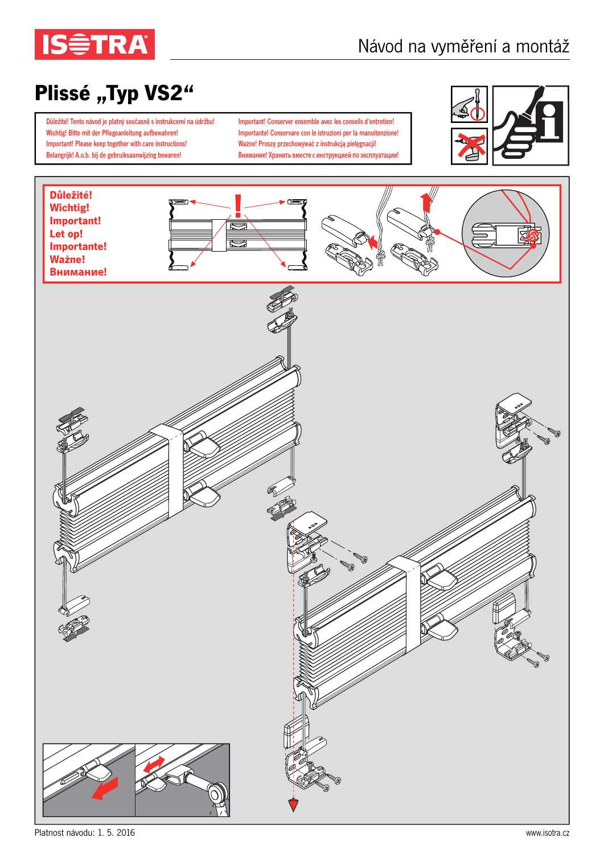

## Plissé "Typ VS2"

Důležité! Tento návod je platný současně s instrukcemi na údržbu! Wichtig! Bitte mit der Pflegeanleitung aufbewahren! Important! Please keep together with care instructions! Belangrijk! A.u.b. bij de gebruiksaanwijzing bewaren!

Important! Conserver ensemble avec les conseils d'entretien! Importante! Conservare con le istruzioni per la manuitenzione! Ważne! Proszę przechowywać z instrukcją pielęgnacji! **Внимание! Хранить вместе с инструкцией по эксплуатации!**



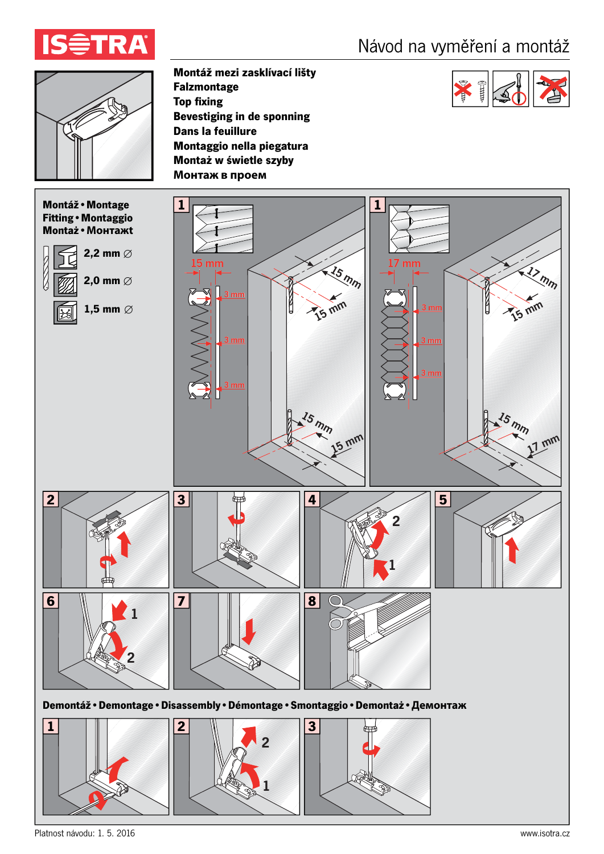